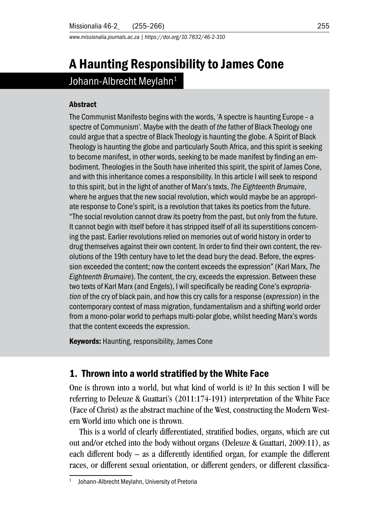*www.missionalia.journals.ac.za | https://doi.org/10.7832/46-2-310*

# A Haunting Responsibility to James Cone Johann-Albrecht Meylahn<sup>1</sup>

#### **Abstract**

The Communist Manifesto begins with the words, 'A spectre is haunting Europe – a spectre of Communism'. Maybe with the death of *the* father of Black Theology one could argue that a spectre of Black Theology is haunting the globe. A Spirit of Black Theology is haunting the globe and particularly South Africa, and this spirit is seeking to become manifest, in other words, seeking to be made manifest by finding an embodiment. Theologies in the South have inherited this spirit, the spirit of James Cone, and with this inheritance comes a responsibility. In this article I will seek to respond to this spirit, but in the light of another of Marx's texts, *The Eighteenth Brumaire*, where he argues that the new social revolution, which would maybe be an appropriate response to Cone's spirit, is a revolution that takes its poetics from the future. "The social revolution cannot draw its poetry from the past, but only from the future. It cannot begin with itself before it has stripped itself of all its superstitions concerning the past. Earlier revolutions relied on memories out of world history in order to drug themselves against their own content. In order to find their own content, the revolutions of the 19th century have to let the dead bury the dead. Before, the expression exceeded the content; now the content exceeds the expression" (Karl Marx, *The Eighteenth Brumaire*). The content, the cry, exceeds the expression. Between these two texts of Karl Marx (and Engels), I will specifically be reading Cone's *expropriation* of the cry of black pain, and how this cry calls for a response (*expression*) in the contemporary context of mass migration, fundamentalism and a shifting world order from a mono-polar world to perhaps multi-polar globe, whilst heeding Marx's words that the content exceeds the expression.

Keywords: Haunting, responsibility, James Cone

## 1. Thrown into a world stratified by the White Face

One is thrown into a world, but what kind of world is it? In this section I will be referring to Deleuze & Guattari's (2011:174-191) interpretation of the White Face (Face of Christ) as the abstract machine of the West, constructing the Modern Western World into which one is thrown.

This is a world of clearly differentiated, stratified bodies, organs, which are cut out and/or etched into the body without organs (Deleuze & Guattari, 2009:11), as each different body – as a differently identified organ, for example the different races, or different sexual orientation, or different genders, or different classifica-

Johann-Albrecht Meylahn, University of Pretoria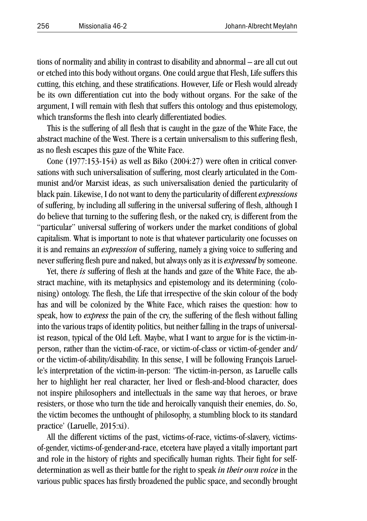tions of normality and ability in contrast to disability and abnormal – are all cut out or etched into this body without organs. One could argue that Flesh, Life suffers this cutting, this etching, and these stratifications. However, Life or Flesh would already be its own differentiation cut into the body without organs. For the sake of the argument, I will remain with flesh that suffers this ontology and thus epistemology, which transforms the flesh into clearly differentiated bodies.

This is the suffering of all flesh that is caught in the gaze of the White Face, the abstract machine of the West. There is a certain universalism to this suffering flesh, as no flesh escapes this gaze of the White Face.

Cone (1977:153-154) as well as Biko (2004:27) were often in critical conversations with such universalisation of suffering, most clearly articulated in the Communist and/or Marxist ideas, as such universalisation denied the particularity of black pain. Likewise, I do not want to deny the particularity of different *expressions* of suffering, by including all suffering in the universal suffering of flesh, although I do believe that turning to the suffering flesh, or the naked cry, is different from the "particular" universal suffering of workers under the market conditions of global capitalism. What is important to note is that whatever particularity one focusses on it is and remains an *expression* of suffering, namely a giving voice to suffering and never suffering flesh pure and naked, but always only as it is *expressed* by someone.

Yet, there *is* suffering of flesh at the hands and gaze of the White Face, the abstract machine, with its metaphysics and epistemology and its determining (colonising) ontology. The flesh, the Life that irrespective of the skin colour of the body has and will be colonized by the White Face, which raises the question: how to speak, how to *express* the pain of the cry, the suffering of the flesh without falling into the various traps of identity politics, but neither falling in the traps of universalist reason, typical of the Old Left. Maybe, what I want to argue for is the victim-inperson, rather than the victim-of-race, or victim-of-class or victim-of-gender and/ or the victim-of-ability/disability. In this sense, I will be following François Laruelle's interpretation of the victim-in-person: 'The victim-in-person, as Laruelle calls her to highlight her real character, her lived or flesh-and-blood character, does not inspire philosophers and intellectuals in the same way that heroes, or brave resisters, or those who turn the tide and heroically vanquish their enemies, do. So, the victim becomes the unthought of philosophy, a stumbling block to its standard practice' (Laruelle, 2015:xi).

All the different victims of the past, victims-of-race, victims-of-slavery, victimsof-gender, victims-of-gender-and-race, etcetera have played a vitally important part and role in the history of rights and specifically human rights. Their fight for selfdetermination as well as their battle for the right to speak *in their own voice* in the various public spaces has firstly broadened the public space, and secondly brought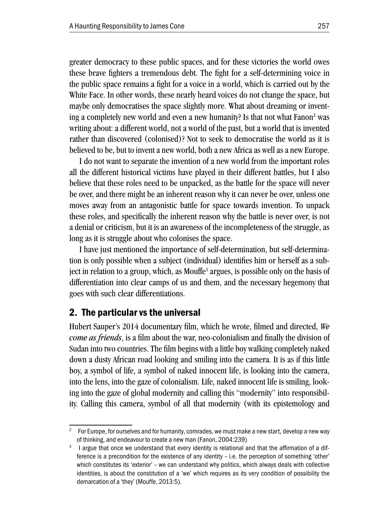greater democracy to these public spaces, and for these victories the world owes these brave fighters a tremendous debt. The fight for a self-determining voice in the public space remains a fight for a voice in a world, which is carried out by the White Face. In other words, these nearly heard voices do not change the space, but maybe only democratises the space slightly more. What about dreaming or inventing a completely new world and even a new humanity? Is that not what Fanon<sup>2</sup> was writing about: a different world, not a world of the past, but a world that is invented rather than discovered (colonised)? Not to seek to democratise the world as it is believed to be, but to invent a new world, both a new Africa as well as a new Europe.

I do not want to separate the invention of a new world from the important roles all the different historical victims have played in their different battles, but I also believe that these roles need to be unpacked, as the battle for the space will never be over, and there might be an inherent reason why it can never be over, unless one moves away from an antagonistic battle for space towards invention. To unpack these roles, and specifically the inherent reason why the battle is never over, is not a denial or criticism, but it is an awareness of the incompleteness of the struggle, as long as it is struggle about who colonises the space.

I have just mentioned the importance of self-determination, but self-determination is only possible when a subject (individual) identifies him or herself as a subject in relation to a group, which, as Mouffe<sup>3</sup> argues, is possible only on the basis of differentiation into clear camps of us and them, and the necessary hegemony that goes with such clear differentiations.

### 2. The particular vs the universal

Hubert Sauper's 2014 documentary film, which he wrote, filmed and directed, *We come as friends*, is a film about the war, neo-colonialism and finally the division of Sudan into two countries. The film begins with a little boy walking completely naked down a dusty African road looking and smiling into the camera. It is as if this little boy, a symbol of life, a symbol of naked innocent life, is looking into the camera, into the lens, into the gaze of colonialism. Life, naked innocent life is smiling, looking into the gaze of global modernity and calling this "modernity" into responsibility. Calling this camera, symbol of all that modernity (with its epistemology and

<sup>2</sup> For Europe, for ourselves and for humanity, comrades, we must make a new start, develop a new way of thinking, and endeavour to create a new man (Fanon, 2004:239)

<sup>&</sup>lt;sup>3</sup> I argue that once we understand that every identity is relational and that the affirmation of a difference is a precondition for the existence of any identity – i.e. the perception of something 'other' which constitutes its 'exterior' – we can understand why politics, which always deals with collective identities, is about the constitution of a 'we' which requires as its very condition of possibility the demarcation of a 'they' (Mouffe, 2013:5).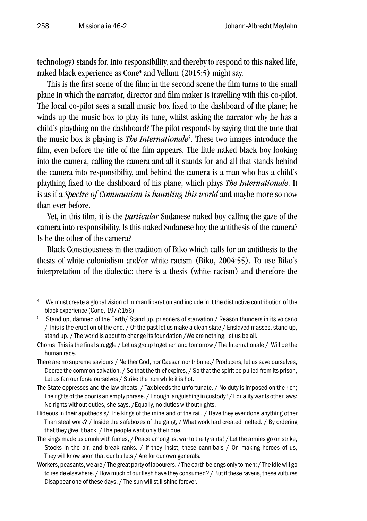technology) stands for, into responsibility, and thereby to respond to this naked life, naked black experience as Cone $^4$  and Vellum (2015:5) might say.

This is the first scene of the film; in the second scene the film turns to the small plane in which the narrator, director and film maker is travelling with this co-pilot. The local co-pilot sees a small music box fixed to the dashboard of the plane; he winds up the music box to play its tune, whilst asking the narrator why he has a child's plaything on the dashboard? The pilot responds by saying that the tune that the music box is playing is *The Internationale*<sup>5</sup> . These two images introduce the film, even before the title of the film appears. The little naked black boy looking into the camera, calling the camera and all it stands for and all that stands behind the camera into responsibility, and behind the camera is a man who has a child's plaything fixed to the dashboard of his plane, which plays *The Internationale*. It is as if a *Spectre of Communism is haunting this world* and maybe more so now than ever before.

Yet, in this film, it is the *particular* Sudanese naked boy calling the gaze of the camera into responsibility. Is this naked Sudanese boy the antithesis of the camera? Is he the other of the camera?

Black Consciousness in the tradition of Biko which calls for an antithesis to the thesis of white colonialism and/or white racism (Biko, 2004:55). To use Biko's interpretation of the dialectic: there is a thesis (white racism) and therefore the

<sup>4</sup> We must create a global vision of human liberation and include in it the distinctive contribution of the black experience (Cone, 1977:156).<br><sup>5</sup> Stand up, damned of the Earth/ Stand up, prisoners of starvation / Reason thunders in its volcano

<sup>/</sup> This is the eruption of the end. / Of the past let us make a clean slate / Enslaved masses, stand up, stand up. / The world is about to change its foundation /We are nothing, let us be all.

Chorus: This is the final struggle / Let us group together, and tomorrow / The Internationale / Will be the human race.

There are no supreme saviours / Neither God, nor Caesar, nor tribune./ Producers, let us save ourselves, Decree the common salvation. / So that the thief expires, / So that the spirit be pulled from its prison, Let us fan our forge ourselves / Strike the iron while it is hot.

The State oppresses and the law cheats. / Tax bleeds the unfortunate. / No duty is imposed on the rich; The rights of the poor is an empty phrase. / Enough languishing in custody! / Equality wants other laws: No rights without duties, she says, /Equally, no duties without rights.

Hideous in their apotheosis/ The kings of the mine and of the rail. / Have they ever done anything other Than steal work? / Inside the safeboxes of the gang, / What work had created melted. / By ordering that they give it back, / The people want only their due.

The kings made us drunk with fumes, / Peace among us, war to the tyrants! / Let the armies go on strike, Stocks in the air, and break ranks. / If they insist, these cannibals / On making heroes of us, They will know soon that our bullets / Are for our own generals.

Workers, peasants, we are / The great party of labourers. / The earth belongs only to men; / The idle will go to reside elsewhere. / How much of our flesh have they consumed? / But if these ravens, these vultures Disappear one of these days, / The sun will still shine forever.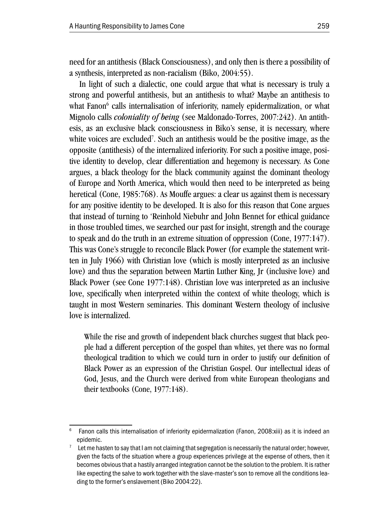need for an antithesis (Black Consciousness), and only then is there a possibility of a synthesis, interpreted as non-racialism (Biko, 2004:55).

In light of such a dialectic, one could argue that what is necessary is truly a strong and powerful antithesis, but an antithesis to what? Maybe an antithesis to what Fanon<sup>6</sup> calls internalisation of inferiority, namely epidermalization, or what Mignolo calls *coloniality of being* (see Maldonado-Torres, 2007:242). An antithesis, as an exclusive black consciousness in Biko's sense, it is necessary, where white voices are excluded<sup>7</sup>. Such an antithesis would be the positive image, as the opposite (antithesis) of the internalized inferiority. For such a positive image, positive identity to develop, clear differentiation and hegemony is necessary. As Cone argues, a black theology for the black community against the dominant theology of Europe and North America, which would then need to be interpreted as being heretical (Cone, 1985:768). As Mouffe argues: a clear us against them is necessary for any positive identity to be developed. It is also for this reason that Cone argues that instead of turning to 'Reinhold Niebuhr and John Bennet for ethical guidance in those troubled times, we searched our past for insight, strength and the courage to speak and do the truth in an extreme situation of oppression (Cone, 1977:147). This was Cone's struggle to reconcile Black Power (for example the statement written in July 1966) with Christian love (which is mostly interpreted as an inclusive love) and thus the separation between Martin Luther King, Jr (inclusive love) and Black Power (see Cone 1977:148). Christian love was interpreted as an inclusive love, specifically when interpreted within the context of white theology, which is taught in most Western seminaries. This dominant Western theology of inclusive love is internalized.

While the rise and growth of independent black churches suggest that black people had a different perception of the gospel than whites, yet there was no formal theological tradition to which we could turn in order to justify our definition of Black Power as an expression of the Christian Gospel. Our intellectual ideas of God, Jesus, and the Church were derived from white European theologians and their textbooks (Cone, 1977:148).

<sup>6</sup> Fanon calls this internalisation of inferiority epidermalization (Fanon, 2008:xiii) as it is indeed an epidemic.

 $7$  Let me hasten to say that I am not claiming that segregation is necessarily the natural order; however, given the facts of the situation where a group experiences privilege at the expense of others, then it becomes obvious that a hastily arranged integration cannot be the solution to the problem. It is rather like expecting the salve to work together with the slave-master's son to remove all the conditions leading to the former's enslavement (Biko 2004:22).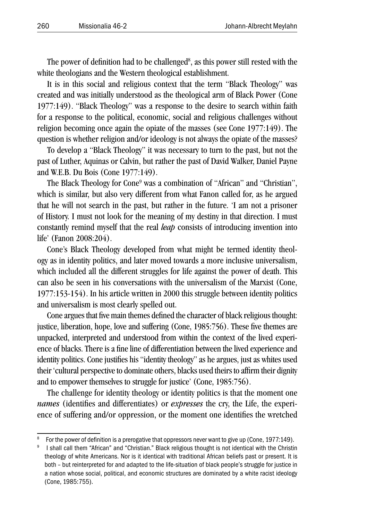The power of definition had to be challenged $\delta$ , as this power still rested with the white theologians and the Western theological establishment.

It is in this social and religious context that the term "Black Theology" was created and was initially understood as the theological arm of Black Power (Cone 1977:149). "Black Theology" was a response to the desire to search within faith for a response to the political, economic, social and religious challenges without religion becoming once again the opiate of the masses (see Cone 1977:149). The question is whether religion and/or ideology is not always the opiate of the masses?

To develop a "Black Theology" it was necessary to turn to the past, but not the past of Luther, Aquinas or Calvin, but rather the past of David Walker, Daniel Payne and W.E.B. Du Bois (Cone 1977:149).

The Black Theology for Cone<sup>9</sup> was a combination of "African" and "Christian", which is similar, but also very different from what Fanon called for, as he argued that he will not search in the past, but rather in the future. 'I am not a prisoner of History. I must not look for the meaning of my destiny in that direction. I must constantly remind myself that the real *leap* consists of introducing invention into life' (Fanon 2008:204).

Cone's Black Theology developed from what might be termed identity theology as in identity politics, and later moved towards a more inclusive universalism, which included all the different struggles for life against the power of death. This can also be seen in his conversations with the universalism of the Marxist (Cone, 1977:153-154). In his article written in 2000 this struggle between identity politics and universalism is most clearly spelled out.

Cone argues that five main themes defined the character of black religious thought: justice, liberation, hope, love and suffering (Cone, 1985:756). These five themes are unpacked, interpreted and understood from within the context of the lived experience of blacks. There is a fine line of differentiation between the lived experience and identity politics. Cone justifies his "identity theology" as he argues, just as whites used their 'cultural perspective to dominate others, blacks used theirs to affirm their dignity and to empower themselves to struggle for justice' (Cone, 1985:756).

The challenge for identity theology or identity politics is that the moment one *names* (identifies and differentiates) or *expresses* the cry, the Life, the experience of suffering and/or oppression, or the moment one identifies the wretched

<sup>&</sup>lt;sup>8</sup> For the power of definition is a prerogative that oppressors never want to give up (Cone, 1977:149).<br><sup>9</sup> I shall call them "African" and "Christian." Black religious thought is not identical with the Christin

theology of white Americans. Nor is it identical with traditional African beliefs past or present. It is both – but reinterpreted for and adapted to the life-situation of black people's struggle for justice in a nation whose social, political, and economic structures are dominated by a white racist ideology (Cone, 1985:755).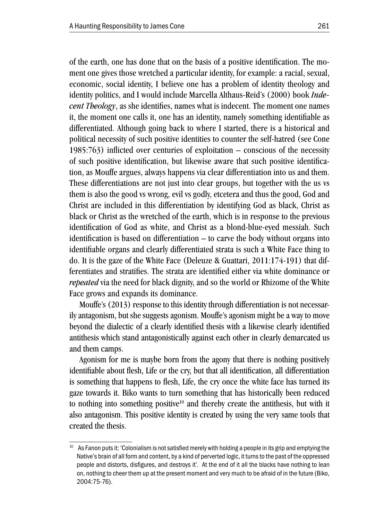of the earth, one has done that on the basis of a positive identification. The moment one gives those wretched a particular identity, for example: a racial, sexual, economic, social identity, I believe one has a problem of identity theology and identity politics, and I would include Marcella Althaus-Reid's (2000) book *Indecent Theology*, as she identifies, names what is indecent. The moment one names it, the moment one calls it, one has an identity, namely something identifiable as differentiated. Although going back to where I started, there is a historical and political necessity of such positive identities to counter the self-hatred (see Cone 1985:763) inflicted over centuries of exploitation – conscious of the necessity of such positive identification, but likewise aware that such positive identification, as Mouffe argues, always happens via clear differentiation into us and them. These differentiations are not just into clear groups, but together with the us vs them is also the good vs wrong, evil vs godly, etcetera and thus the good, God and Christ are included in this differentiation by identifying God as black, Christ as black or Christ as the wretched of the earth, which is in response to the previous identification of God as white, and Christ as a blond-blue-eyed messiah. Such identification is based on differentiation – to carve the body without organs into identifiable organs and clearly differentiated strata is such a White Face thing to do. It is the gaze of the White Face (Deleuze & Guattari, 2011:174-191) that differentiates and stratifies. The strata are identified either via white dominance or *repeated* via the need for black dignity, and so the world or Rhizome of the White Face grows and expands its dominance.

Mouffe's (2013) response to this identity through differentiation is not necessarily antagonism, but she suggests agonism. Mouffe's agonism might be a way to move beyond the dialectic of a clearly identified thesis with a likewise clearly identified antithesis which stand antagonistically against each other in clearly demarcated us and them camps.

Agonism for me is maybe born from the agony that there is nothing positively identifiable about flesh, Life or the cry, but that all identification, all differentiation is something that happens to flesh, Life, the cry once the white face has turned its gaze towards it. Biko wants to turn something that has historically been reduced to nothing into something positive $10$  and thereby create the antithesis, but with it also antagonism. This positive identity is created by using the very same tools that created the thesis.

 $10$  As Fanon puts it: 'Colonialism is not satisfied merely with holding a people in its grip and emptying the Native's brain of all form and content, by a kind of perverted logic, it turns to the past of the oppressed people and distorts, disfigures, and destroys it'. At the end of it all the blacks have nothing to lean on, nothing to cheer them up at the present moment and very much to be afraid of in the future (Biko, 2004:75-76).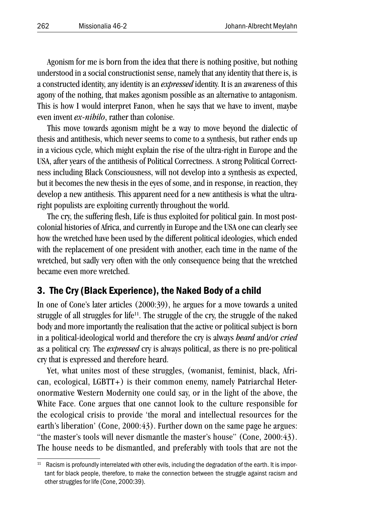Agonism for me is born from the idea that there is nothing positive, but nothing understood in a social constructionist sense, namely that any identity that there is, is a constructed identity, any identity is an *expressed* identity. It is an awareness of this agony of the nothing, that makes agonism possible as an alternative to antagonism. This is how I would interpret Fanon, when he says that we have to invent, maybe even invent *ex-nihilo*, rather than colonise.

This move towards agonism might be a way to move beyond the dialectic of thesis and antithesis, which never seems to come to a synthesis, but rather ends up in a vicious cycle, which might explain the rise of the ultra-right in Europe and the USA, after years of the antithesis of Political Correctness. A strong Political Correctness including Black Consciousness, will not develop into a synthesis as expected, but it becomes the new thesis in the eyes of some, and in response, in reaction, they develop a new antithesis. This apparent need for a new antithesis is what the ultraright populists are exploiting currently throughout the world.

The cry, the suffering flesh, Life is thus exploited for political gain. In most postcolonial histories of Africa, and currently in Europe and the USA one can clearly see how the wretched have been used by the different political ideologies, which ended with the replacement of one president with another, each time in the name of the wretched, but sadly very often with the only consequence being that the wretched became even more wretched.

### 3. The Cry (Black Experience), the Naked Body of a child

In one of Cone's later articles (2000:39), he argues for a move towards a united struggle of all struggles for life<sup>11</sup>. The struggle of the cry, the struggle of the naked body and more importantly the realisation that the active or political subject is born in a political-ideological world and therefore the cry is always *heard* and/or *cried* as a political cry. The *expressed* cry is always political, as there is no pre-political cry that is expressed and therefore heard.

Yet, what unites most of these struggles, (womanist, feminist, black, African, ecological, LGBTT+) is their common enemy, namely Patriarchal Heteronormative Western Modernity one could say, or in the light of the above, the White Face. Cone argues that one cannot look to the culture responsible for the ecological crisis to provide 'the moral and intellectual resources for the earth's liberation' (Cone, 2000:43). Further down on the same page he argues: "the master's tools will never dismantle the master's house" (Cone, 2000:43). The house needs to be dismantled, and preferably with tools that are not the

<sup>&</sup>lt;sup>11</sup> Racism is profoundly interrelated with other evils, including the degradation of the earth. It is important for black people, therefore, to make the connection between the struggle against racism and other struggles for life (Cone, 2000:39).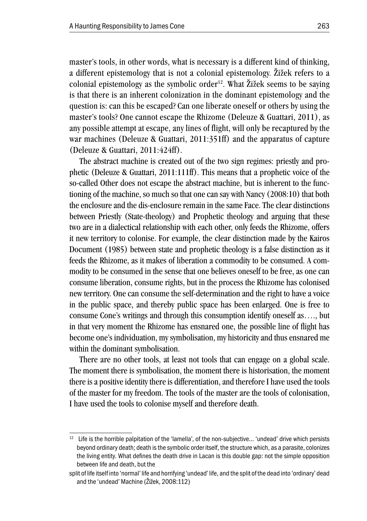master's tools, in other words, what is necessary is a different kind of thinking, a different epistemology that is not a colonial epistemology. Žižek refers to a colonial epistemology as the symbolic order<sup>12</sup>. What Žižek seems to be saying is that there is an inherent colonization in the dominant epistemology and the question is: can this be escaped? Can one liberate oneself or others by using the master's tools? One cannot escape the Rhizome (Deleuze & Guattari, 2011), as any possible attempt at escape, any lines of flight, will only be recaptured by the war machines (Deleuze & Guattari, 2011:351ff) and the apparatus of capture (Deleuze & Guattari, 2011:424ff).

The abstract machine is created out of the two sign regimes: priestly and prophetic (Deleuze & Guattari, 2011:111ff). This means that a prophetic voice of the so-called Other does not escape the abstract machine, but is inherent to the functioning of the machine, so much so that one can say with Nancy (2008:10) that both the enclosure and the dis-enclosure remain in the same Face. The clear distinctions between Priestly (State-theology) and Prophetic theology and arguing that these two are in a dialectical relationship with each other, only feeds the Rhizome, offers it new territory to colonise. For example, the clear distinction made by the Kairos Document (1985) between state and prophetic theology is a false distinction as it feeds the Rhizome, as it makes of liberation a commodity to be consumed. A commodity to be consumed in the sense that one believes oneself to be free, as one can consume liberation, consume rights, but in the process the Rhizome has colonised new territory. One can consume the self-determination and the right to have a voice in the public space, and thereby public space has been enlarged. One is free to consume Cone's writings and through this consumption identify oneself as…., but in that very moment the Rhizome has ensnared one, the possible line of flight has become one's individuation, my symbolisation, my historicity and thus ensnared me within the dominant symbolisation.

There are no other tools, at least not tools that can engage on a global scale. The moment there is symbolisation, the moment there is historisation, the moment there is a positive identity there is differentiation, and therefore I have used the tools of the master for my freedom. The tools of the master are the tools of colonisation, I have used the tools to colonise myself and therefore death.

 $12$  Life is the horrible palpitation of the 'lamella', of the non-subjective... 'undead' drive which persists beyond ordinary death; death is the symbolic order itself, the structure which, as a parasite, colonizes the living entity. What defines the death drive in Lacan is this double gap: not the simple opposition between life and death, but the

split of life itself into 'normal' life and horrifying 'undead' life, and the split of the dead into 'ordinary' dead and the 'undead' Machine (Žižek, 2008:112)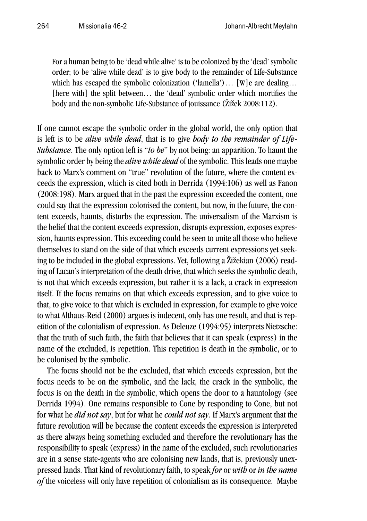For a human being to be 'dead while alive' is to be colonized by the 'dead' symbolic order; to be 'alive while dead' is to give body to the remainder of Life-Substance which has escaped the symbolic colonization ('lamella')... [W] e are dealing... [here with] the split between... the 'dead' symbolic order which mortifies the body and the non-symbolic Life-Substance of jouissance (Žižek 2008:112).

If one cannot escape the symbolic order in the global world, the only option that is left is to be *alive while dead*, that is to give *body to the remainder of Life-Substance*. The only option left is "*to be*" by not being: an apparition. To haunt the symbolic order by being the *alive while dead* of the symbolic. This leads one maybe back to Marx's comment on "true" revolution of the future, where the content exceeds the expression, which is cited both in Derrida (1994:106) as well as Fanon (2008:198). Marx argued that in the past the expression exceeded the content, one could say that the expression colonised the content, but now, in the future, the content exceeds, haunts, disturbs the expression. The universalism of the Marxism is the belief that the content exceeds expression, disrupts expression, exposes expression, haunts expression. This exceeding could be seen to unite all those who believe themselves to stand on the side of that which exceeds current expressions yet seeking to be included in the global expressions. Yet, following a Žižekian (2006) reading of Lacan's interpretation of the death drive, that which seeks the symbolic death, is not that which exceeds expression, but rather it is a lack, a crack in expression itself. If the focus remains on that which exceeds expression, and to give voice to that, to give voice to that which is excluded in expression, for example to give voice to what Althaus-Reid (2000) argues is indecent, only has one result, and that is repetition of the colonialism of expression. As Deleuze (1994:95) interprets Nietzsche: that the truth of such faith, the faith that believes that it can speak (express) in the name of the excluded, is repetition. This repetition is death in the symbolic, or to be colonised by the symbolic.

The focus should not be the excluded, that which exceeds expression, but the focus needs to be on the symbolic, and the lack, the crack in the symbolic, the focus is on the death in the symbolic, which opens the door to a hauntology (see Derrida 1994). One remains responsible to Cone by responding to Cone, but not for what he *did not say*, but for what he *could not say*. If Marx's argument that the future revolution will be because the content exceeds the expression is interpreted as there always being something excluded and therefore the revolutionary has the responsibility to speak (express) in the name of the excluded, such revolutionaries are in a sense state-agents who are colonising new lands, that is, previously unexpressed lands. That kind of revolutionary faith, to speak *for* or *with* or *in the name of* the voiceless will only have repetition of colonialism as its consequence. Maybe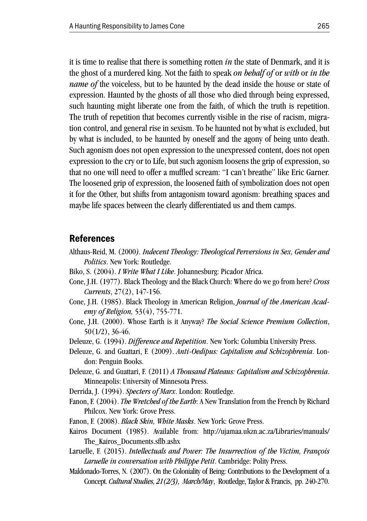it is time to realise that there is something rotten *in* the state of Denmark, and it is the ghost of a murdered king. Not the faith to speak *on behalf of* or *with* or *in the name of* the voiceless, but to be haunted by the dead inside the house or state of expression. Haunted by the ghosts of all those who died through being expressed, such haunting might liberate one from the faith, of which the truth is repetition. The truth of repetition that becomes currently visible in the rise of racism, migration control, and general rise in sexism. To be haunted not by what is excluded, but by what is included, to be haunted by oneself and the agony of being unto death. Such agonism does not open expression to the unexpressed content, does not open expression to the cry or to Life, but such agonism loosens the grip of expression, so that no one will need to offer a muffled scream: "I can't breathe" like Eric Garner. The loosened grip of expression, the loosened faith of symbolization does not open it for the Other, but shifts from antagonism toward agonism: breathing spaces and maybe life spaces between the clearly differentiated us and them camps.

#### References

- Althaus-Reid, M. (2000*). Indecent Theology: Theological Perversions in Sex, Gender and Politics*. New York: Routledge.
- Biko, S. (2004). *I Write What I Like*. Johannesburg: Picador Africa.
- Cone, J.H. (1977). Black Theology and the Black Church: Where do we go from here? *Cross Currents*, 27(2), 147-156.
- Cone, J.H. (1985). Black Theology in American Religion, *Journal of the American Academy of Religion,* 53(4), 755-771.
- Cone, J.H. (2000). Whose Earth is it Anyway? *The Social Science Premium Collection*, 50(1/2), 36-46.
- Deleuze, G. (1994). *Difference and Repetition*. New York: Columbia University Press.
- Deleuze, G. and Guattari, F. (2009). *Anti-Oedipus: Capitalism and Schizophrenia*. London: Penguin Books.
- Deleuze, G. and Guattari, F. (2011) *A Thousand Plateaus: Capitalism and Schizophrenia*. Minneapolis: University of Minnesota Press.
- Derrida, J. (1994). *Specters of Marx*. London: Routledge.
- Fanon, F. (2004). *The Wretched of the Earth*: A New Translation from the French by Richard Philcox. New York: Grove Press.
- Fanon, F. (2008). *Black Skin, White Masks*. New York: Grove Press.
- Kairos Document (1985). Available from: http://ujamaa.ukzn.ac.za/Libraries/manuals/ The\_Kairos\_Documents.sflb.ashx
- Laruelle, F. (2015). *Intellectuals and Power: The Insurrection of the Victim, François Laruelle in conversation with Philippe Petit*. Cambridge: Polity Press.
- Maldonado-Torres, N. (2007). On the Coloniality of Being: Contributions to the Development of a Concept. *Cultural Studies, 21(2/3), March/May*, Routledge, Taylor & Francis, pp. 240-270.